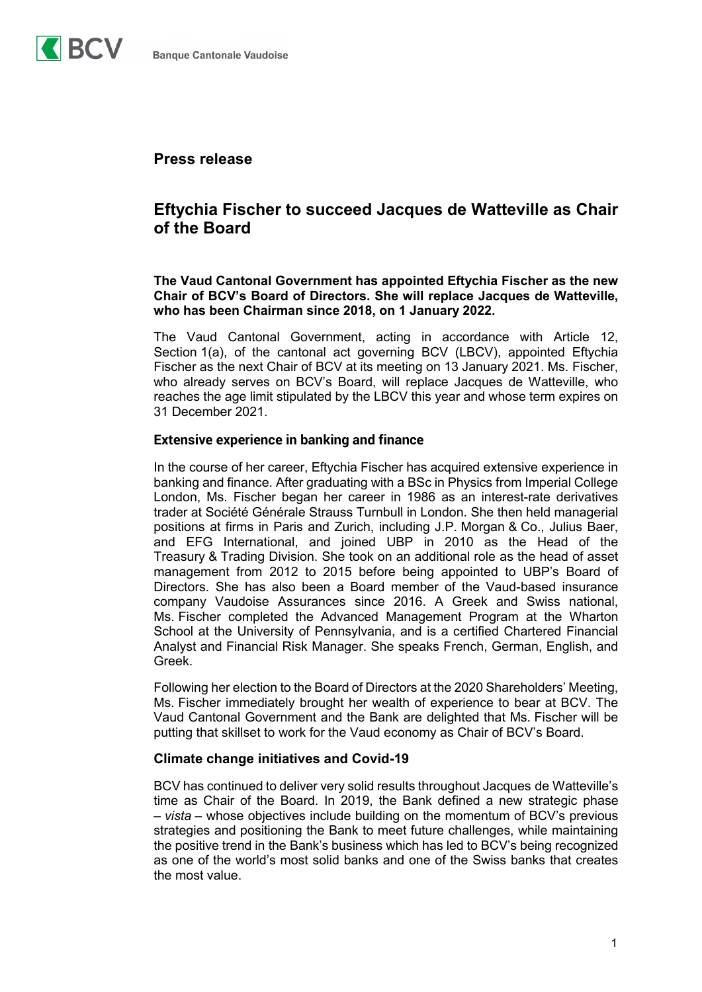

## **Press release**

# **Eftychia Fischer to succeed Jacques de Watteville as Chair of the Board**

**The Vaud Cantonal Government has appointed Eftychia Fischer as the new Chair of BCV's Board of Directors. She will replace Jacques de Watteville, who has been Chairman since 2018, on 1 January 2022.**

The Vaud Cantonal Government, acting in accordance with Article 12, Section 1(a), of the cantonal act governing BCV (LBCV), appointed Eftychia Fischer as the next Chair of BCV at its meeting on 13 January 2021. Ms. Fischer, who already serves on BCV's Board, will replace Jacques de Watteville, who reaches the age limit stipulated by the LBCV this year and whose term expires on 31 December 2021.

#### **Extensive experience in banking and finance**

In the course of her career, Eftychia Fischer has acquired extensive experience in banking and finance. After graduating with a BSc in Physics from Imperial College London, Ms. Fischer began her career in 1986 as an interest-rate derivatives trader at Société Générale Strauss Turnbull in London. She then held managerial positions at firms in Paris and Zurich, including J.P. Morgan & Co., Julius Baer, and EFG International, and joined UBP in 2010 as the Head of the Treasury & Trading Division. She took on an additional role as the head of asset management from 2012 to 2015 before being appointed to UBP's Board of Directors. She has also been a Board member of the Vaud-based insurance company Vaudoise Assurances since 2016. A Greek and Swiss national, Ms. Fischer completed the Advanced Management Program at the Wharton School at the University of Pennsylvania, and is a certified Chartered Financial Analyst and Financial Risk Manager. She speaks French, German, English, and Greek.

Following her election to the Board of Directors at the 2020 Shareholders' Meeting, Ms. Fischer immediately brought her wealth of experience to bear at BCV. The Vaud Cantonal Government and the Bank are delighted that Ms. Fischer will be putting that skillset to work for the Vaud economy as Chair of BCV's Board.

#### **Climate change initiatives and Covid-19**

BCV has continued to deliver very solid results throughout Jacques de Watteville's time as Chair of the Board. In 2019, the Bank defined a new strategic phase – *vista* – whose objectives include building on the momentum of BCV's previous strategies and positioning the Bank to meet future challenges, while maintaining the positive trend in the Bank's business which has led to BCV's being recognized as one of the world's most solid banks and one of the Swiss banks that creates the most value.